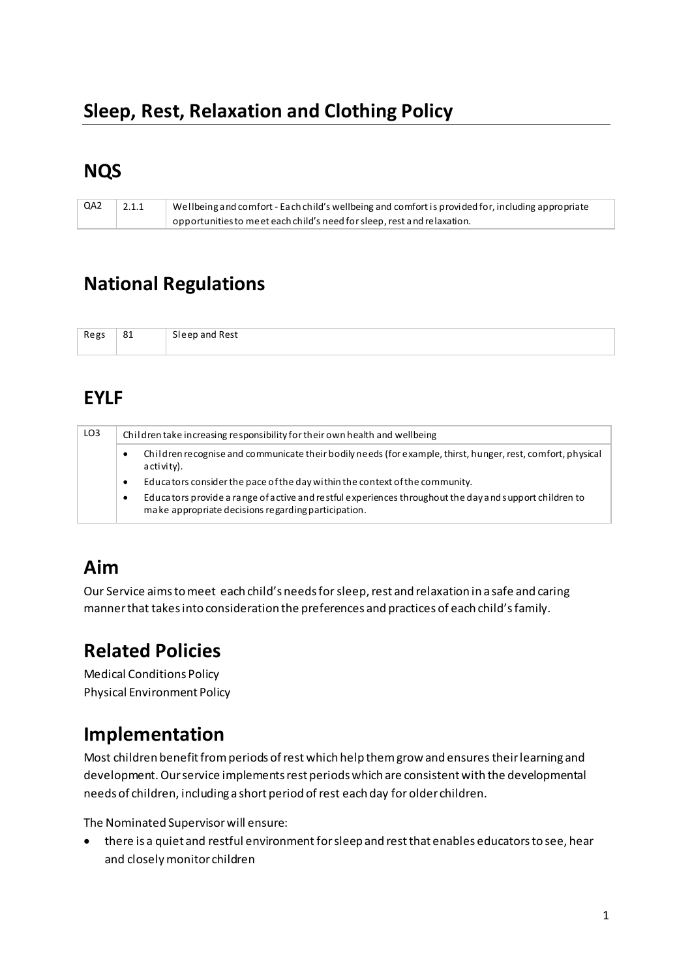# Sleep, Rest, Relaxation and Clothing Policy

### **NQS**

| QA2 | 2.1.1 | Wellbeing and comfort - Each child's wellbeing and comfort is provided for, including appropriate |
|-----|-------|---------------------------------------------------------------------------------------------------|
|     |       | opportunities to meet each child's need for sleep, rest and relaxation.                           |

# **National Regulations**

| Regs | 81 | Sleep and Rest |
|------|----|----------------|
|      |    |                |

# **EYLF**

| LO <sub>3</sub> | Children take increasing responsibility for their own health and wellbeing |                                                                                                                                                               |  |
|-----------------|----------------------------------------------------------------------------|---------------------------------------------------------------------------------------------------------------------------------------------------------------|--|
|                 | $\bullet$                                                                  | Children recognise and communicate their bodily needs (for example, thirst, hunger, rest, comfort, physical<br>a cti vi ty).                                  |  |
|                 | ٠                                                                          | Educators consider the pace of the day within the context of the community.                                                                                   |  |
|                 | ٠                                                                          | Educators provide a range of active and restful experiences throughout the day and support children to<br>make appropriate decisions regarding participation. |  |

# Aim

Our Service aims to meet each child's needs for sleep, rest and relaxation in a safe and caring manner that takes into consideration the preferences and practices of each child's family.

# **Related Policies**

**Medical Conditions Policy Physical Environment Policy** 

# Implementation

Most children benefit from periods of rest which help them grow and ensures their learning and development. Our service implements rest periods which are consistent with the developmental needs of children, including a short period of rest each day for older children.

The Nominated Supervisor will ensure:

• there is a quiet and restful environment for sleep and rest that enables educators to see, hear and closely monitor children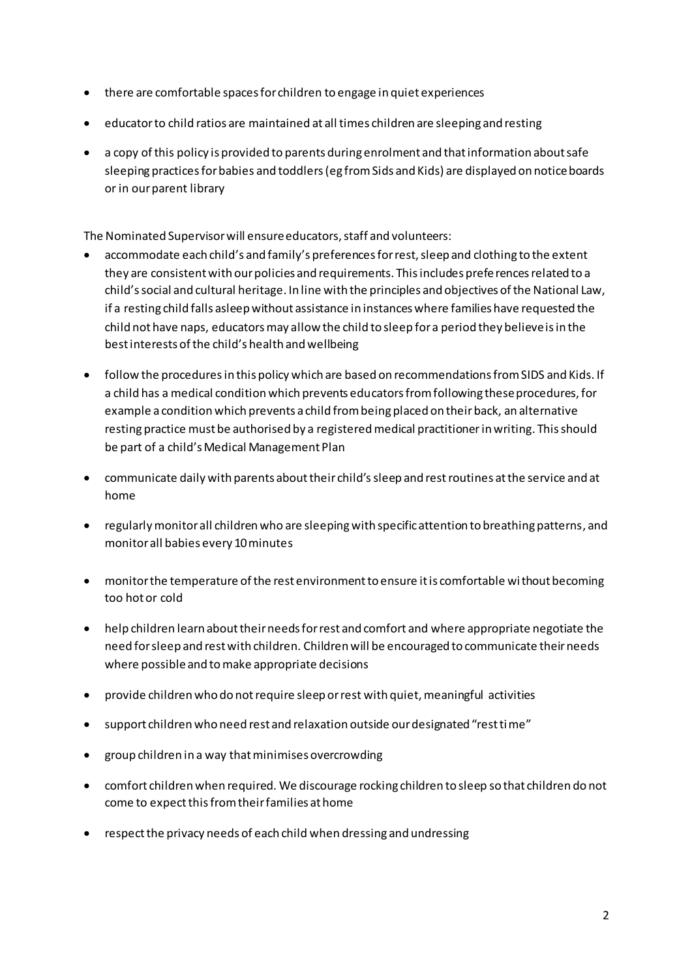- there are comfortable spaces for children to engage in quiet experiences
- educator to child ratios are maintained at all times children are sleeping and resting
- a copy of this policy is provided to parents during enrolment and that information about safe sleeping practices for babies and toddlers (eg from Sids and Kids) are displayed on noticeboards or in our parent library

The Nominated Supervisor will ensure educators, staff and volunteers:

- accommodate each child's and family's preferences for rest, sleep and clothing to the extent they are consistent with our policies and requirements. This includes prefe rences related to a child's social and cultural heritage. In line with the principles and objectives of the National Law, if a resting child falls asleep without assistance in instances where families have requested the child not have naps, educators may allow the child to sleep for a period they believe is in the best interests of the child's health and wellbeing
- follow the procedures in this policy which are based on recommendations from SIDS and Kids. If a child has a medical condition which prevents educators from following these procedures, for example a condition which prevents a child from being placed on their back, an alternative resting practice must be authorised by a registered medical practitioner in writing. This should be part of a child's Medical Management Plan
- communicate daily with parents about their child's sleep and rest routines at the service and at home
- regularly monitor all children who are sleeping with specific attention to breathing patterns, and monitor all babies every 10 minutes
- monitor the temperature of the rest environment to ensure it is comfortable wi thout becoming too hot or cold
- help children learn about their needs for rest and comfort and where appropriate negotiate the need for sleep and rest with children. Children will be encouraged to communicate their needs where possible and to make appropriate decisions
- provide children who do not require sleep or rest with quiet, meaningful activities
- support children who need rest and relaxation outside our designated "rest ti me"
- group children in a way that minimises overcrowding
- comfort children when required. We discourage rocking children to sleep so that children do not come to expect this from their families at home
- respect the privacy needs of each child when dressing and undressing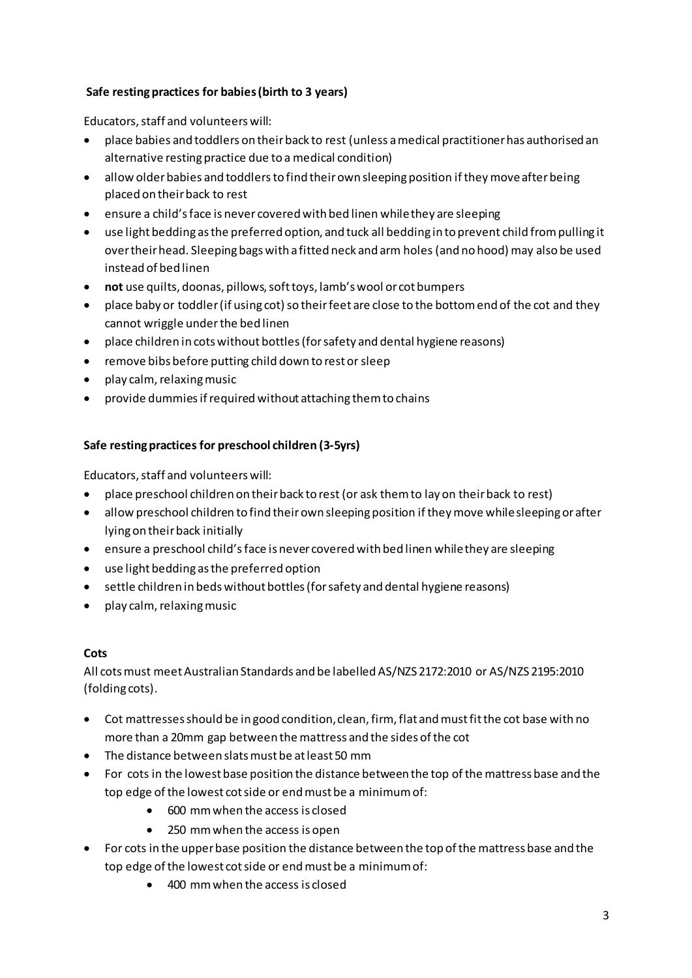### **Safe resting practices for babies (birth to 3 years)**

Educators, staff and volunteers will:

- place babies and toddlers on their back to rest (unless a medical practitioner has authorised an alternative resting practice due to a medical condition)
- allow older babies and toddlers to find their own sleeping position if they move after being placed on their back to rest
- ensure a child's face is never covered with bed linen while they are sleeping
- use light bedding as the preferred option, and tuck all bedding in to prevent child from pulling it over their head. Sleeping bags with a fitted neck and arm holes (and no hood) may also be used instead of bed linen
- **not** use quilts, doonas, pillows, soft toys, lamb's wool or cot bumpers
- place baby or toddler (if using cot) so their feet are close to the bottom end of the cot and they cannot wriggle under the bed linen
- place children in cots without bottles (for safety and dental hygiene reasons)
- remove bibs before putting child down to rest or sleep
- play calm, relaxing music
- provide dummies if required without attaching them to chains

### **Safe resting practices for preschool children (3-5yrs)**

Educators, staff and volunteers will:

- place preschool children on their back to rest (or ask them to lay on their back to rest)
- allow preschool children to find their own sleeping position if they move while sleeping or after lying on their back initially
- ensure a preschool child's face is never covered with bed linen while they are sleeping
- use light bedding as the preferred option
- settle children in beds without bottles (for safety and dental hygiene reasons)
- play calm, relaxing music

### **Cots**

All cots must meet Australian Standards and be labelled AS/NZS 2172:2010 or AS/NZS 2195:2010 (folding cots).

- Cot mattresses should be in good condition, clean, firm, flat and must fit the cot base with no more than a 20mm gap between the mattress and the sides of the cot
- The distance between slats must be at least 50 mm
- For cots in the lowest base position the distance between the top of the mattress base and the top edge of the lowest cot side or end must be a minimum of:
	- 600 mm when the access is closed
	- 250 mm when the access is open
- For cots in the upper base position the distance between the top of the mattress base and the top edge of the lowest cot side or end must be a minimum of:
	- 400 mm when the access is closed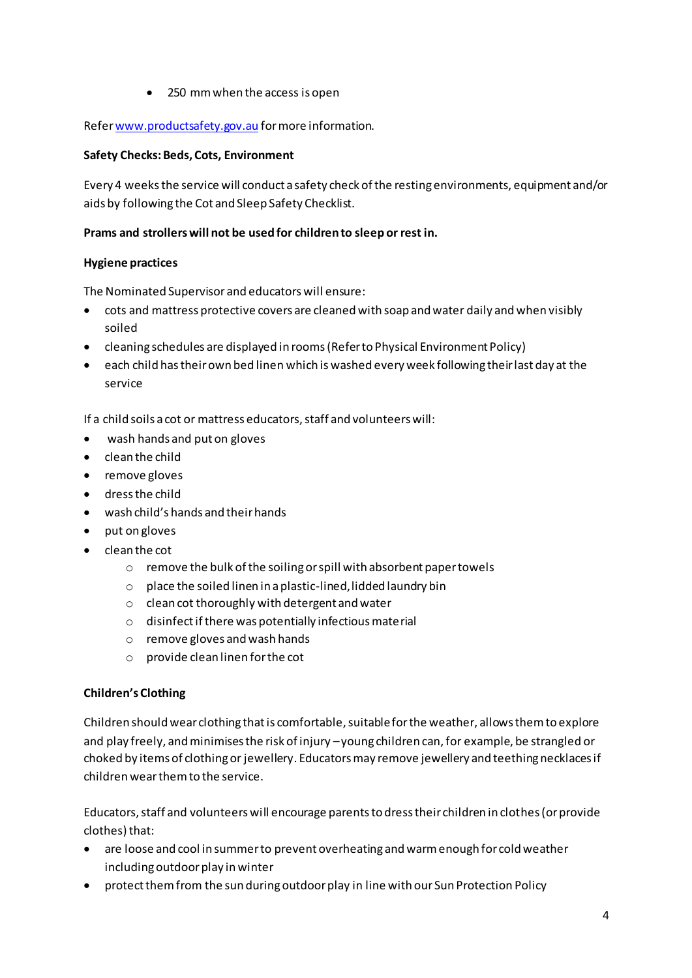• 250 mm when the access is open

#### Refe[r www.productsafety.gov.au](http://www.productsafety.gov.au/) for more information.

#### **Safety Checks: Beds, Cots, Environment**

Every 4 weeks the service will conduct a safety check of the resting environments, equipment and/or aids by following the Cot and Sleep Safety Checklist.

### **Prams and strollers will not be used for children to sleep or rest in.**

#### **Hygiene practices**

The Nominated Supervisor and educators will ensure:

- cots and mattress protective covers are cleaned with soap and water daily and when visibly soiled
- cleaning schedules are displayed in rooms (Refer to Physical Environment Policy)
- each child has their own bed linen which is washed every week following their last day at the service

If a child soils a cot or mattress educators, staff and volunteers will:

- wash hands and put on gloves
- clean the child
- remove gloves
- dress the child
- wash child's hands and their hands
- put on gloves
- clean the cot
	- o remove the bulk of the soiling or spill with absorbent paper towels
	- $\circ$  place the soiled linen in a plastic-lined, lidded laundry bin
	- o clean cot thoroughly with detergent and water
	- o disinfect if there was potentially infectious material
	- o remove gloves and wash hands
	- o provide clean linen for the cot

### **Children's Clothing**

Children should wear clothing that is comfortable, suitable for the weather, allows them to explore and play freely, and minimises the risk of injury – young children can, for example, be strangled or choked by items of clothing or jewellery. Educators may remove jewellery and teething necklaces if children wear them to the service.

Educators, staff and volunteers will encourage parents to dress their children in clothes (or provide clothes) that:

- are loose and cool in summer to prevent overheating and warm enough for cold weather including outdoor play in winter
- protect them from the sun during outdoor play in line with our Sun Protection Policy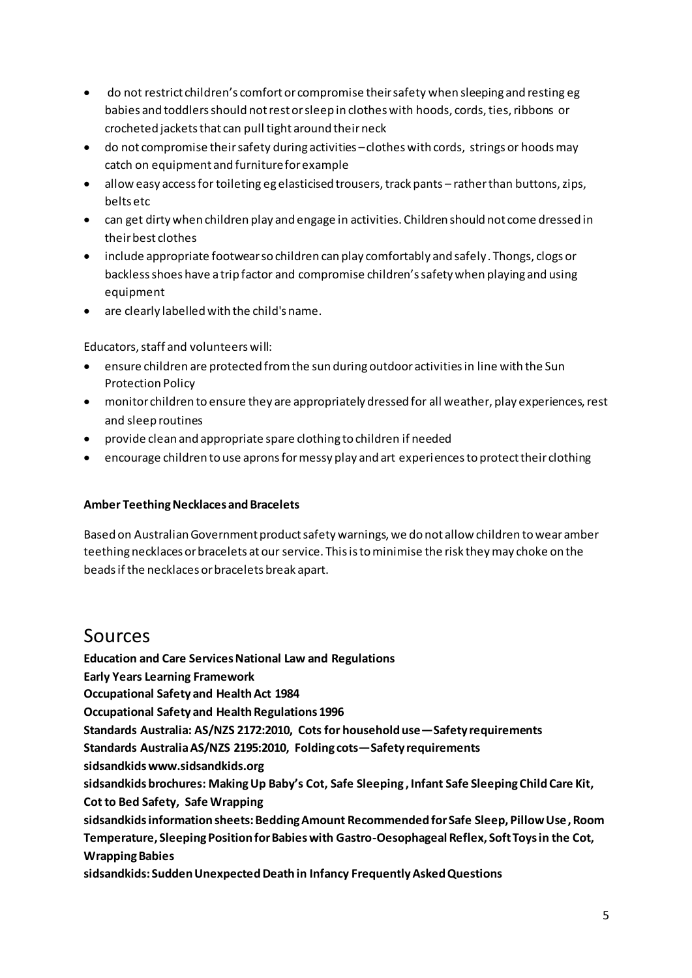- do not restrict children's comfort or compromise their safety when sleeping and resting eg babies and toddlers should not rest or sleep in clothes with hoods, cords, ties, ribbons or crocheted jackets that can pull tight around their neck
- do not compromise their safety during activities clothes with cords, strings or hoods may catch on equipment and furniture for example
- allow easy access for toileting eg elasticised trousers, track pants rather than buttons, zips, belts etc
- can get dirty when children play and engage in activities. Children should not come dressed in their best clothes
- include appropriate footwear so children can play comfortably and safely. Thongs, clogs or backless shoes have a trip factor and compromise children's safety when playing and using equipment
- are clearly labelled with the child's name.

Educators, staff and volunteers will:

- ensure children are protected from the sun during outdoor activities in line with the Sun Protection Policy
- monitor children to ensure they are appropriately dressed for all weather, play experiences, rest and sleep routines
- provide clean and appropriate spare clothing to children if needed
- encourage children to use aprons for messy play and art experiences to protect their clothing

#### **Amber Teething Necklaces and Bracelets**

Based on Australian Government product safety warnings, we do not allow children to wear amber teething necklaces or bracelets at our service. This is to minimise the risk they may choke on the beads if the necklaces or bracelets break apart.

### Sources

**Education and Care Services National Law and Regulations Early Years Learning Framework Occupational Safety and Health Act 1984 Occupational Safety and Health Regulations 1996 Standards Australia: AS/NZS 2172:2010, Cots for household use—Safety requirements Standards Australia AS/NZS 2195:2010, Folding cots—Safety requirements sidsandkid[s www.sidsandkids.org](http://www.sidsandkids.org/)  sidsandkids brochures: Making Up Baby's Cot, Safe Sleeping , Infant Safe Sleeping Child Care Kit, Cot to Bed Safety, Safe Wrapping sidsandkids information sheets: Bedding Amount Recommended for Safe Sleep, Pillow Use, Room Temperature, Sleeping Position for Babies with Gastro-Oesophageal Reflex, Soft Toys in the Cot, Wrapping Babies** 

**sidsandkids: Sudden Unexpected Death in Infancy Frequently Asked Questions**